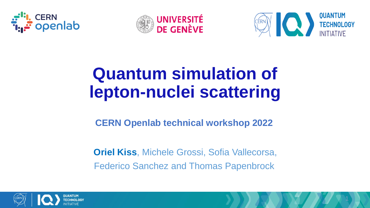





# **Quantum simulation of lepton-nuclei scattering**

#### **CERN Openlab technical workshop 2022**

**Oriel Kiss**, Michele Grossi, Sofia Vallecorsa, Federico Sanchez and Thomas Papenbrock

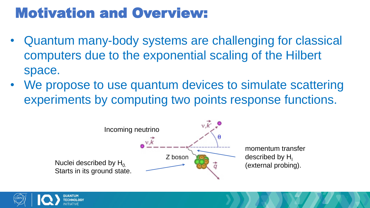## Motivation and Overview:

- Quantum many-body systems are challenging for classical computers due to the exponential scaling of the Hilbert space.
- We propose to use quantum devices to simulate scattering experiments by computing two points response functions.



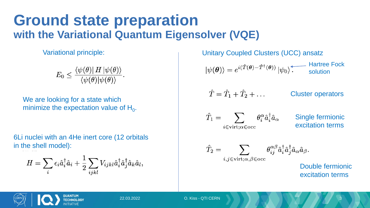#### **Ground state preparation with the Variational Quantum Eigensolver (VQE)**

Variational principle:

$$
E_0 \leq \frac{\langle \psi(\theta) | H | \psi(\theta) \rangle}{\langle \psi(\theta) | \psi(\theta) \rangle}.
$$

We are looking for a state which minimize the expectation value of  $H_0$ .

6Li nuclei with an 4He inert core (12 orbitals in the shell model):

$$
H = \sum_{i} \epsilon_i \hat{a}_i^{\dagger} \hat{a}_i + \frac{1}{2} \sum_{ijkl} V_{ijkl} \hat{a}_i^{\dagger} \hat{a}_j^{\dagger} \hat{a}_k \hat{a}_l,
$$

Unitary Coupled Clusters (UCC) ansatz  $|\psi(\theta)\rangle = e^{i(\hat{T}(\theta)-\hat{T}^{\dagger}(\theta))} |\psi_0\rangle$ . Hartree Hartree Fock  $\hat{T} = \hat{T}_1 + \hat{T}_2 + \dots$ Cluster operators  $\hat{T}_1 = \sum \theta_i^{\alpha} \hat{a}_i^{\dagger} \hat{a}_{\alpha}$ Single fermionic excitation terms  $i \in \text{virt}; \alpha \in \text{occ}$  $\hat{T}_2 = \sum \qquad \partial^{\alpha \beta}_{ij} \hat{a}^\dagger_i \hat{a}^\dagger_j \hat{a}_\alpha \hat{a}_\beta.$  $i, j \in \text{virt}; \alpha, \beta \in \text{occ}$ Double fermionic excitation terms

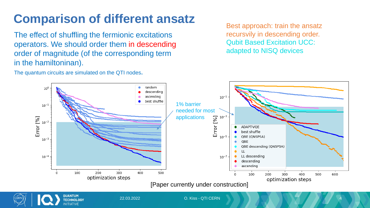### **Comparison of different ansatz**

The effect of shuffling the fermionic excitations operators. We should order them in descending order of magnitude (of the corresponding term in the hamiltoninan).

The quantum circuits are simulated on the QTI nodes.

**TECHNOLOGY NITIATIVE** 

Best approach: train the ansatz recursvily in descending order. Qubit Based Excitation UCC: adapted to NISQ devices



22.03.2022 O. Kiss - QTI CERN 4

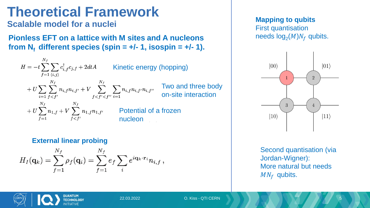## **Theoretical Framework**

**Scalable model for a nuclei**

**Pionless EFT on a lattice with M sites and A nucleons**  from  $N_f$  different species (spin =  $+/- 1$ , isospin =  $+/- 1$ ).

 $H = -t\sum_{i=1}^{t} \sum_{j} c_{i,j}^{\dagger} c_{j,j} + 2dtA$  Kinetic energy (hopping) Two and three body on-site interaction Potential of a frozen nucleon

#### **External linear probing**

$$
H_I(\mathbf{q}_k) = \sum_{f=1}^{N_f} \rho_f(\mathbf{q}_i) = \sum_{f=1}^{N_f} e_f \sum_i e^{i\mathbf{q}_k \cdot \mathbf{r}_i} n_{i,f},
$$

**Mapping to qubits** First quantisation needs  $log_2(M)N_f$  qubits.



Second quantisation (via Jordan-Wigner): More natural but needs  $MN_f$  qubits.

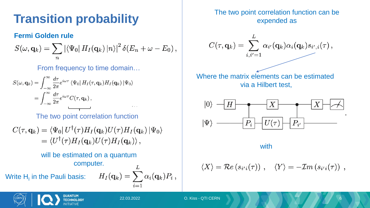### **Transition probability**

#### **Fermi Golden rule**

$$
S(\omega, \mathbf{q}_k) = \sum_n |\langle \Psi_0| H_I(\mathbf{q}_k) |n \rangle|^2 \, \delta(E_n + \omega - E_0),
$$

From frequency to time domain…

$$
S(\omega, \mathbf{q}_k) = \int_{-\infty}^{\infty} \frac{d\tau}{2\pi} e^{i\omega\tau} \langle \Psi_0 | H_I(\tau, \mathbf{q}_k) H_I(\mathbf{q}_k) | \Psi_0 \rangle
$$
  
= 
$$
\int_{-\infty}^{\infty} \frac{d\tau}{2\pi} e^{i\omega\tau} C(\tau, \mathbf{q}_k),
$$

The two point correlation function

$$
C(\tau, \mathbf{q}_k) = \langle \Psi_0 | U^{\dagger}(\tau) H_I(\mathbf{q}_k) U(\tau) H_I(\mathbf{q}_k) | \Psi_0 \rangle
$$
  
= 
$$
\langle U^{\dagger}(\tau) H_I(\mathbf{q}_k) U(\tau) H_I(\mathbf{q}_k) \rangle,
$$

#### will be estimated on a quantum computer.

Write  $H<sub>l</sub>$  in the Pauli basis:

$$
H_I(\mathbf{q}_k) = \sum_{i=1}^L \alpha_i(\mathbf{q}_k) P_i ,
$$

The two point correlation function can be expended as



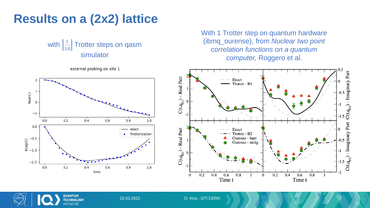#### **Results on a (2x2) lattice**

```
with \left| \frac{t}{10} \right|10
 Trotter steps on qasm 
    simulator
```
external probing on site 1



With 1 Trotter step on quantum hardware (ibmq\_ourense), from *Nuclear two point correlation functions on a quantum computer,* Roggero et al.





22.03.2022 O. Kiss - QTI CERN 7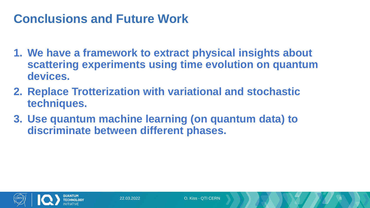#### **Conclusions and Future Work**

- **1. We have a framework to extract physical insights about scattering experiments using time evolution on quantum devices.**
- **2. Replace Trotterization with variational and stochastic techniques.**
- **3. Use quantum machine learning (on quantum data) to discriminate between different phases.**

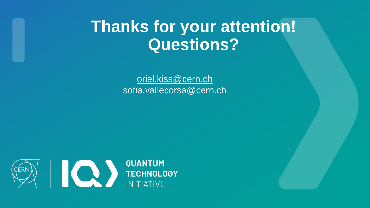# **Thanks for your attention! Questions?**

[oriel.kiss@cern.ch](mailto:Oriel.kiss@cern.ch) sofia.vallecorsa@cern.ch